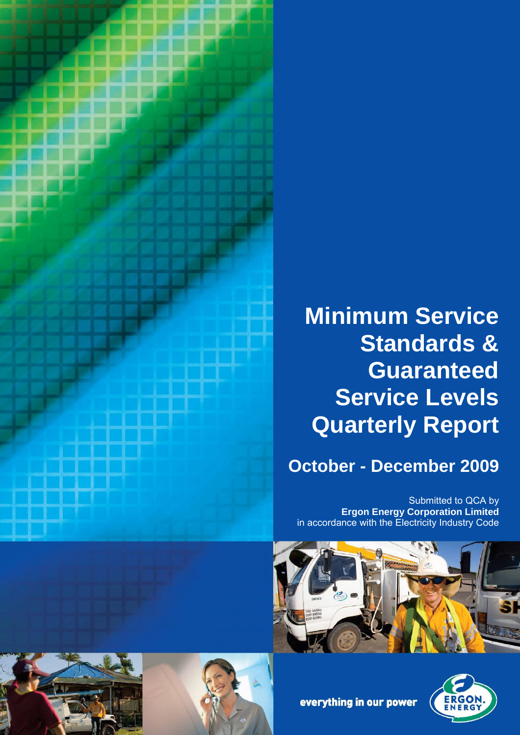

# **Minimum Service Standards & Guaranteed Service Levels Quarterly Report**

# **October - December 2009**

Submitted to QCA by **Ergon Energy Corporation Limited** in accordance with the Electricity Industry Code









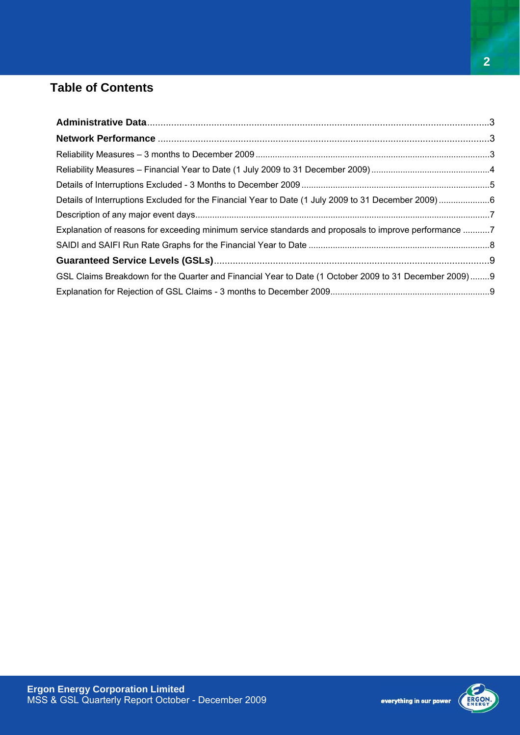## **Table of Contents**

| Explanation of reasons for exceeding minimum service standards and proposals to improve performance 7 |  |
|-------------------------------------------------------------------------------------------------------|--|
|                                                                                                       |  |
|                                                                                                       |  |
| GSL Claims Breakdown for the Quarter and Financial Year to Date (1 October 2009 to 31 December 2009)9 |  |
|                                                                                                       |  |

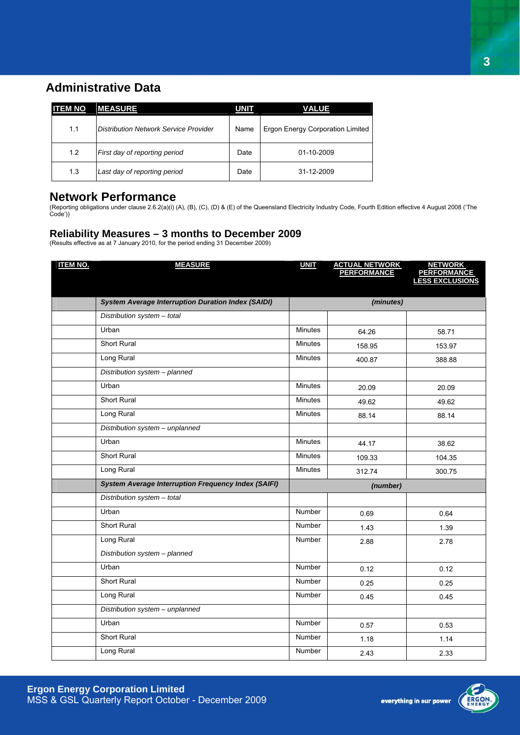### **Administrative Data**

| <b>ITEM NO</b> | <b>MEASURE</b>                        | <b>UNIT</b> | VALUE                            |
|----------------|---------------------------------------|-------------|----------------------------------|
| 1.1            | Distribution Network Service Provider | Name        | Ergon Energy Corporation Limited |
| 1.2            | First day of reporting period         | Date        | 01-10-2009                       |
| 1.3            | Last day of reporting period          | Date        | 31-12-2009                       |

#### **Network Performance**

(Reporting obligations under clause 2.6.2(a)(i) (A), (B), (C), (D) & (E) of the Queensland Electricity Industry Code, Fourth Edition effective 4 August 2008 ('The Code'))

#### **Reliability Measures – 3 months to December 2009**

(Results effective as at 7 January 2010, for the period ending 31 December 2009)

| <b>ITEM NO.</b> | <b>MEASURE</b>                                             | <b>UNIT</b>    | <b>ACTUAL NETWORK<br/>PERFORMANCE</b> | <b>NETWORK</b><br>PERFORMANCE<br>LESS EXCLUSIONS |
|-----------------|------------------------------------------------------------|----------------|---------------------------------------|--------------------------------------------------|
|                 |                                                            |                |                                       |                                                  |
|                 | <b>System Average Interruption Duration Index (SAIDI)</b>  |                | (minutes)                             |                                                  |
|                 | Distribution system - total                                |                |                                       |                                                  |
|                 | Urban                                                      | Minutes        | 64.26                                 | 58.71                                            |
|                 | Short Rural                                                | <b>Minutes</b> | 158.95                                | 153.97                                           |
|                 | Long Rural                                                 | <b>Minutes</b> | 400.87                                | 388.88                                           |
|                 | Distribution system - planned                              |                |                                       |                                                  |
|                 | Urban                                                      | <b>Minutes</b> | 20.09                                 | 20.09                                            |
|                 | Short Rural                                                | <b>Minutes</b> | 49.62                                 | 49.62                                            |
|                 | Long Rural                                                 | <b>Minutes</b> | 88.14                                 | 88.14                                            |
|                 | Distribution system - unplanned                            |                |                                       |                                                  |
|                 | Urban                                                      | Minutes        | 44.17                                 | 38.62                                            |
|                 | Short Rural                                                | <b>Minutes</b> | 109.33                                | 104.35                                           |
|                 | Long Rural                                                 | <b>Minutes</b> | 312.74                                | 300.75                                           |
|                 | <b>System Average Interruption Frequency Index (SAIFI)</b> |                | (number)                              |                                                  |
|                 | Distribution system - total                                |                |                                       |                                                  |
|                 | Urban                                                      | Number         | 0.69                                  | 0.64                                             |
|                 | <b>Short Rural</b>                                         | Number         | 1.43                                  | 1.39                                             |
|                 | Long Rural                                                 | Number         | 2.88                                  | 2.78                                             |
|                 | Distribution system - planned                              |                |                                       |                                                  |
|                 | Urban                                                      | <b>Number</b>  | 0.12                                  | 0.12                                             |
|                 | <b>Short Rural</b>                                         | <b>Number</b>  | 0.25                                  | 0.25                                             |
|                 | Long Rural                                                 | Number         | 0.45                                  | 0.45                                             |
|                 | Distribution system - unplanned                            |                |                                       |                                                  |
|                 | Urban                                                      | Number         | 0.57                                  | 0.53                                             |
|                 | <b>Short Rural</b>                                         | Number         | 1.18                                  | 1.14                                             |
|                 | Long Rural                                                 | Number         | 2.43                                  | 2.33                                             |



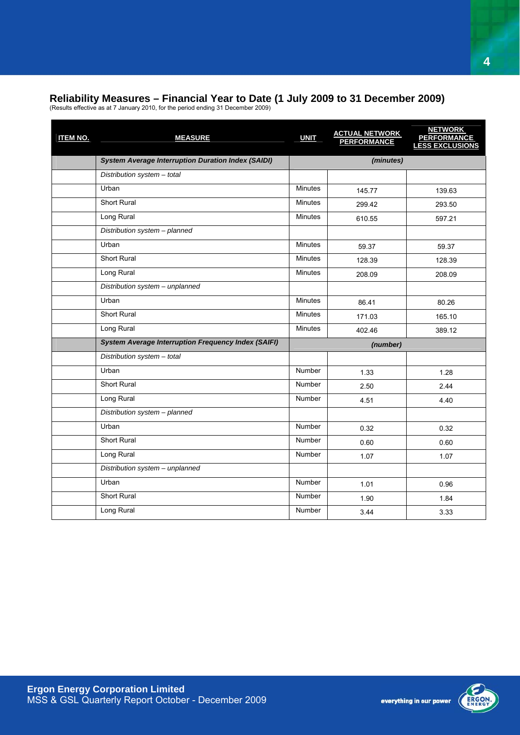#### **Reliability Measures – Financial Year to Date (1 July 2009 to 31 December 2009)**

(Results effective as at 7 January 2010, for the period ending 31 December 2009)

| <b>ITEM NO.</b> | <b>MEASURE</b>                                             | <b>UNIT</b>    | <b>ACTUAL NETWORK</b><br>PERFORMANCE | <b>NETWORK</b><br><b>PERFORMANCE</b><br><b>LESS EXCLUSIONS</b> |
|-----------------|------------------------------------------------------------|----------------|--------------------------------------|----------------------------------------------------------------|
|                 | <b>System Average Interruption Duration Index (SAIDI)</b>  |                | (minutes)                            |                                                                |
|                 | Distribution system - total                                |                |                                      |                                                                |
|                 | Urban                                                      | <b>Minutes</b> | 145.77                               | 139.63                                                         |
|                 | <b>Short Rural</b>                                         | <b>Minutes</b> | 299.42                               | 293.50                                                         |
|                 | Long Rural                                                 | <b>Minutes</b> | 610.55                               | 597.21                                                         |
|                 | Distribution system - planned                              |                |                                      |                                                                |
|                 | Urban                                                      | <b>Minutes</b> | 59.37                                | 59.37                                                          |
|                 | Short Rural                                                | <b>Minutes</b> | 128.39                               | 128.39                                                         |
|                 | Long Rural                                                 | <b>Minutes</b> | 208.09                               | 208.09                                                         |
|                 | Distribution system - unplanned                            |                |                                      |                                                                |
|                 | Urban                                                      | <b>Minutes</b> | 86.41                                | 80.26                                                          |
|                 | <b>Short Rural</b>                                         | <b>Minutes</b> | 171.03                               | 165.10                                                         |
|                 | Long Rural                                                 | <b>Minutes</b> | 402.46                               | 389.12                                                         |
|                 | <b>System Average Interruption Frequency Index (SAIFI)</b> |                | (number)                             |                                                                |
|                 | Distribution system - total                                |                |                                      |                                                                |
|                 | Urban                                                      | <b>Number</b>  | 1.33                                 | 1.28                                                           |
|                 | <b>Short Rural</b>                                         | <b>Number</b>  | 2.50                                 | 2.44                                                           |
|                 | Long Rural                                                 | Number         | 4.51                                 | 4.40                                                           |
|                 | Distribution system - planned                              |                |                                      |                                                                |
|                 | Urban                                                      | <b>Number</b>  | 0.32                                 | 0.32                                                           |
|                 | <b>Short Rural</b>                                         | Number         | 0.60                                 | 0.60                                                           |
|                 | Long Rural                                                 | <b>Number</b>  | 1.07                                 | 1.07                                                           |
|                 | Distribution system - unplanned                            |                |                                      |                                                                |
|                 | Urban                                                      | <b>Number</b>  | 1.01                                 | 0.96                                                           |
|                 | Short Rural                                                | <b>Number</b>  | 1.90                                 | 1.84                                                           |
|                 | Long Rural                                                 | Number         | 3.44                                 | 3.33                                                           |

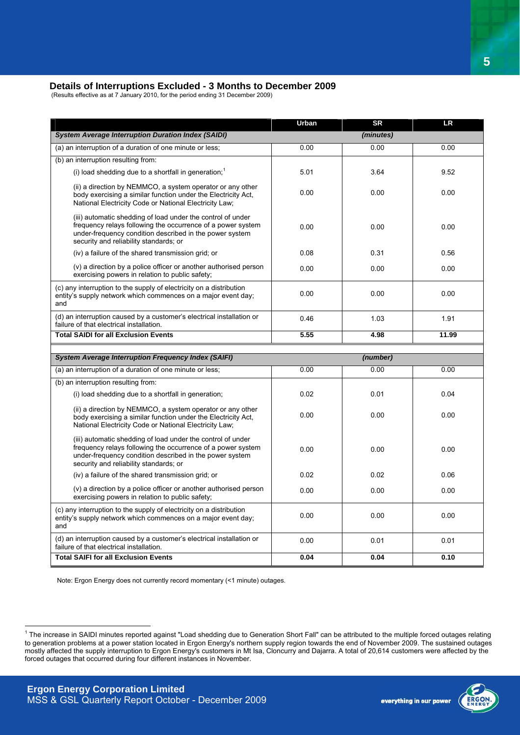#### **Details of Interruptions Excluded - 3 Months to December 2009**

(Results effective as at 7 January 2010, for the period ending 31 December 2009)

|                                                                                                                                                                                                                                 | Urban | <b>SR</b> | <b>LR</b> |
|---------------------------------------------------------------------------------------------------------------------------------------------------------------------------------------------------------------------------------|-------|-----------|-----------|
| <b>System Average Interruption Duration Index (SAIDI)</b>                                                                                                                                                                       |       | (minutes) |           |
| (a) an interruption of a duration of one minute or less;                                                                                                                                                                        | 0.00  | 0.00      | 0.00      |
| (b) an interruption resulting from:                                                                                                                                                                                             |       |           |           |
| (i) load shedding due to a shortfall in generation; <sup>1</sup>                                                                                                                                                                | 5.01  | 3.64      | 9.52      |
| (ii) a direction by NEMMCO, a system operator or any other<br>body exercising a similar function under the Electricity Act,<br>National Electricity Code or National Electricity Law;                                           | 0.00  | 0.00      | 0.00      |
| (iii) automatic shedding of load under the control of under<br>frequency relays following the occurrence of a power system<br>under-frequency condition described in the power system<br>security and reliability standards; or | 0.00  | 0.00      | 0.00      |
| (iv) a failure of the shared transmission grid; or                                                                                                                                                                              | 0.08  | 0.31      | 0.56      |
| (v) a direction by a police officer or another authorised person<br>exercising powers in relation to public safety;                                                                                                             | 0.00  | 0.00      | 0.00      |
| (c) any interruption to the supply of electricity on a distribution<br>entity's supply network which commences on a major event day;<br>and                                                                                     | 0.00  | 0.00      | 0.00      |
| (d) an interruption caused by a customer's electrical installation or<br>failure of that electrical installation.                                                                                                               | 0.46  | 1.03      | 1.91      |
| <b>Total SAIDI for all Exclusion Events</b>                                                                                                                                                                                     | 5.55  | 4.98      | 11.99     |
|                                                                                                                                                                                                                                 |       |           |           |
|                                                                                                                                                                                                                                 |       |           |           |
| <b>System Average Interruption Frequency Index (SAIFI)</b>                                                                                                                                                                      |       | (number)  |           |
| (a) an interruption of a duration of one minute or less;                                                                                                                                                                        | 0.00  | 0.00      | 0.00      |
| (b) an interruption resulting from:                                                                                                                                                                                             |       |           |           |
| (i) load shedding due to a shortfall in generation;                                                                                                                                                                             | 0.02  | 0.01      | 0.04      |
| (ii) a direction by NEMMCO, a system operator or any other<br>body exercising a similar function under the Electricity Act,<br>National Electricity Code or National Electricity Law;                                           | 0.00  | 0.00      | 0.00      |
| (iii) automatic shedding of load under the control of under<br>frequency relays following the occurrence of a power system<br>under-frequency condition described in the power system<br>security and reliability standards; or | 0.00  | 0.00      | 0.00      |
| (iv) a failure of the shared transmission grid; or                                                                                                                                                                              | 0.02  | 0.02      | 0.06      |
| (v) a direction by a police officer or another authorised person<br>exercising powers in relation to public safety;                                                                                                             | 0.00  | 0.00      | 0.00      |
| (c) any interruption to the supply of electricity on a distribution<br>entity's supply network which commences on a major event day;<br>and                                                                                     | 0.00  | 0.00      | 0.00      |
| (d) an interruption caused by a customer's electrical installation or<br>failure of that electrical installation.                                                                                                               | 0.00  | 0.01      | 0.01      |

Note: Ergon Energy does not currently record momentary (<1 minute) outages.



<sup>1&</sup>lt;br>The increase in SAIDI minutes reported against "Load shedding due to Generation Short Fall" can be attributed to the multiple forced outages relating to generation problems at a power station located in Ergon Energy's northern supply region towards the end of November 2009. The sustained outages mostly affected the supply interruption to Ergon Energy's customers in Mt Isa, Cloncurry and Dajarra. A total of 20,614 customers were affected by the forced outages that occurred during four different instances in November.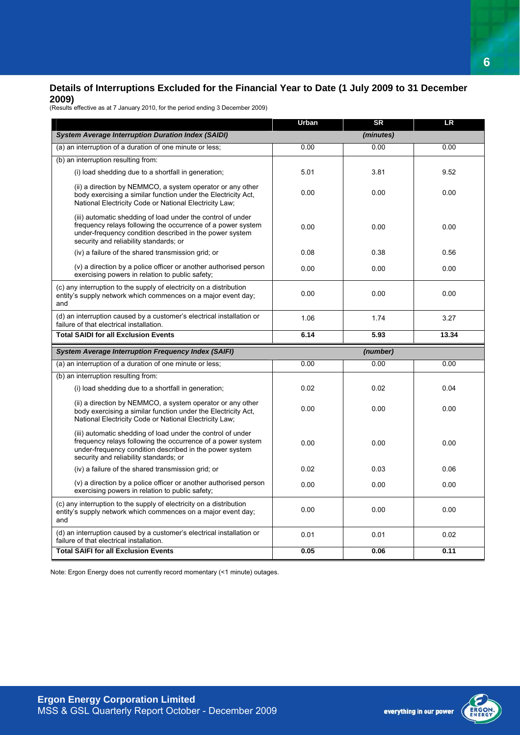#### **Details of Interruptions Excluded for the Financial Year to Date (1 July 2009 to 31 December 2009)**

(Results effective as at 7 January 2010, for the period ending 3 December 2009)

|                                                                                                                                                                                                                                 | Urban | <b>SR</b> | <b>LR</b> |
|---------------------------------------------------------------------------------------------------------------------------------------------------------------------------------------------------------------------------------|-------|-----------|-----------|
| <b>System Average Interruption Duration Index (SAIDI)</b>                                                                                                                                                                       |       | (minutes) |           |
| (a) an interruption of a duration of one minute or less;                                                                                                                                                                        | 0.00  | 0.00      | 0.00      |
| (b) an interruption resulting from:                                                                                                                                                                                             |       |           |           |
| (i) load shedding due to a shortfall in generation;                                                                                                                                                                             | 5.01  | 3.81      | 9.52      |
| (ii) a direction by NEMMCO, a system operator or any other<br>body exercising a similar function under the Electricity Act,<br>National Electricity Code or National Electricity Law;                                           | 0.00  | 0.00      | 0.00      |
| (iii) automatic shedding of load under the control of under<br>frequency relays following the occurrence of a power system<br>under-frequency condition described in the power system<br>security and reliability standards; or | 0.00  | 0.00      | 0.00      |
| (iv) a failure of the shared transmission grid; or                                                                                                                                                                              | 0.08  | 0.38      | 0.56      |
| (v) a direction by a police officer or another authorised person<br>exercising powers in relation to public safety;                                                                                                             | 0.00  | 0.00      | 0.00      |
| (c) any interruption to the supply of electricity on a distribution<br>entity's supply network which commences on a major event day;<br>and                                                                                     | 0.00  | 0.00      | 0.00      |
| (d) an interruption caused by a customer's electrical installation or<br>failure of that electrical installation.                                                                                                               | 1.06  | 1.74      | 3.27      |
| <b>Total SAIDI for all Exclusion Events</b>                                                                                                                                                                                     | 6.14  | 5.93      | 13.34     |
| <b>System Average Interruption Frequency Index (SAIFI)</b>                                                                                                                                                                      |       | (number)  |           |
| (a) an interruption of a duration of one minute or less;                                                                                                                                                                        | 0.00  | 0.00      | 0.00      |
| (b) an interruption resulting from:                                                                                                                                                                                             |       |           |           |
| (i) load shedding due to a shortfall in generation;                                                                                                                                                                             | 0.02  | 0.02      | 0.04      |
| (ii) a direction by NEMMCO, a system operator or any other<br>body exercising a similar function under the Electricity Act.<br>National Electricity Code or National Electricity Law;                                           | 0.00  | 0.00      | 0.00      |
| (iii) automatic shedding of load under the control of under<br>frequency relays following the occurrence of a power system<br>under-frequency condition described in the power system<br>security and reliability standards; or | 0.00  | 0.00      | 0.00      |
| (iv) a failure of the shared transmission grid; or                                                                                                                                                                              | 0.02  | 0.03      | 0.06      |
| (v) a direction by a police officer or another authorised person<br>exercising powers in relation to public safety;                                                                                                             | 0.00  | 0.00      | 0.00      |
| (c) any interruption to the supply of electricity on a distribution<br>entity's supply network which commences on a major event day;<br>and                                                                                     | 0.00  | 0.00      | 0.00      |
| (d) an interruption caused by a customer's electrical installation or<br>failure of that electrical installation.                                                                                                               | 0.01  | 0.01      | 0.02      |
| <b>Total SAIFI for all Exclusion Events</b>                                                                                                                                                                                     | 0.05  | 0.06      | 0.11      |

Note: Ergon Energy does not currently record momentary (<1 minute) outages.



**6**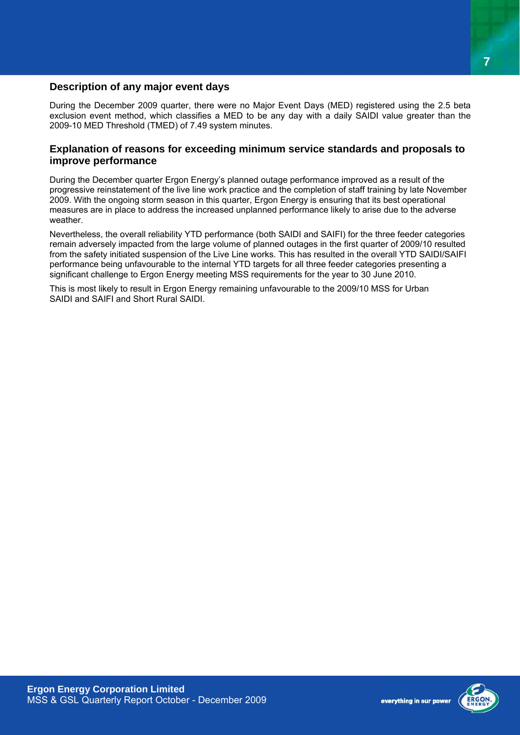#### **Description of any major event days**

During the December 2009 quarter, there were no Major Event Days (MED) registered using the 2.5 beta exclusion event method, which classifies a MED to be any day with a daily SAIDI value greater than the 2009-10 MED Threshold (TMED) of 7.49 system minutes.

#### **Explanation of reasons for exceeding minimum service standards and proposals to improve performance**

During the December quarter Ergon Energy's planned outage performance improved as a result of the progressive reinstatement of the live line work practice and the completion of staff training by late November 2009. With the ongoing storm season in this quarter, Ergon Energy is ensuring that its best operational measures are in place to address the increased unplanned performance likely to arise due to the adverse weather.

Nevertheless, the overall reliability YTD performance (both SAIDI and SAIFI) for the three feeder categories remain adversely impacted from the large volume of planned outages in the first quarter of 2009/10 resulted from the safety initiated suspension of the Live Line works. This has resulted in the overall YTD SAIDI/SAIFI performance being unfavourable to the internal YTD targets for all three feeder categories presenting a significant challenge to Ergon Energy meeting MSS requirements for the year to 30 June 2010.

This is most likely to result in Ergon Energy remaining unfavourable to the 2009/10 MSS for Urban SAIDI and SAIFI and Short Rural SAIDI.

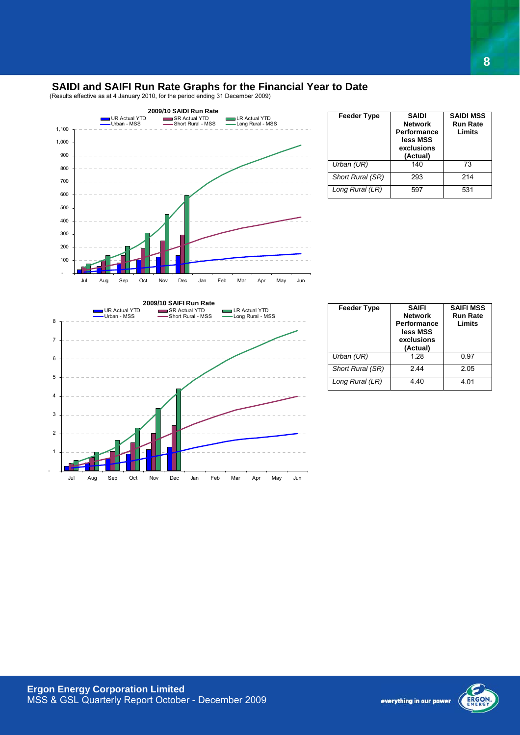#### **SAIDI and SAIFI Run Rate Graphs for the Financial Year to Date**

(Results effective as at 4 January 2010, for the period ending 31 December 2009)



| <b>Feeder Type</b> | <b>SAIDI</b><br><b>Network</b><br>Performance<br>less MSS<br>exclusions<br>(Actual) | <b>SAIDI MSS</b><br><b>Run Rate</b><br>Limits |
|--------------------|-------------------------------------------------------------------------------------|-----------------------------------------------|
| Urban (UR)         | 140                                                                                 | 73                                            |
| Short Rural (SR)   | 293                                                                                 | 214                                           |
| Long Rural (LR)    | 597                                                                                 | 531                                           |



| <b>Feeder Type</b> | <b>SAIFI</b><br><b>Network</b><br>Performance<br>less MSS<br>exclusions<br>(Actual) | <b>SAIFI MSS</b><br><b>Run Rate</b><br>Limits |
|--------------------|-------------------------------------------------------------------------------------|-----------------------------------------------|
| Urban (UR)         | 1.28                                                                                | 0.97                                          |
| Short Rural (SR)   | 244                                                                                 | 2.05                                          |
| Long Rural (LR)    | 4.40                                                                                | 4.01                                          |



everything in our power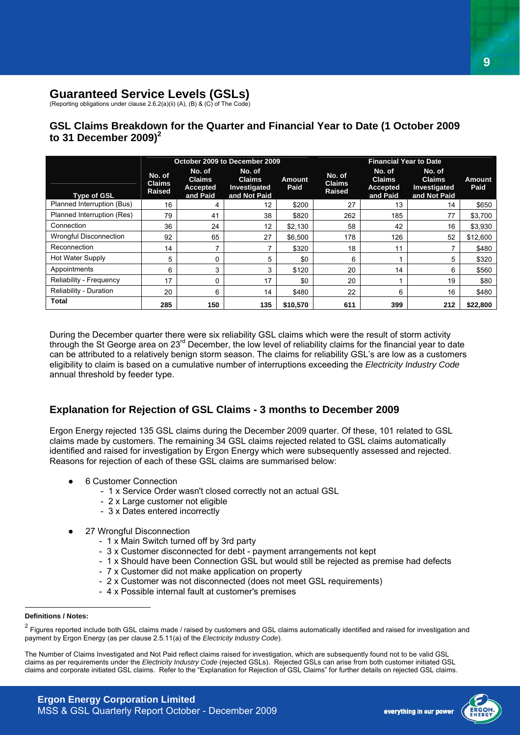#### **Guaranteed Service Levels (GSLs)**

(Reporting obligations under clause 2.6.2(a)(ii) (A), (B) & (C) of The Code)

#### **GSL Claims Breakdown for the Quarter and Financial Year to Date (1 October 2009 to 31 December 2009)<sup>2</sup>**

|                               |                                          |                                                        | October 2009 to December 2009                           |                       | <b>Financial Year to Date</b>            |                                                        |                                                         |                |
|-------------------------------|------------------------------------------|--------------------------------------------------------|---------------------------------------------------------|-----------------------|------------------------------------------|--------------------------------------------------------|---------------------------------------------------------|----------------|
| Type of GSL                   | No. of<br><b>Claims</b><br><b>Raised</b> | No. of<br><b>Claims</b><br><b>Accepted</b><br>and Paid | No. of<br><b>Claims</b><br>Investigated<br>and Not Paid | <b>Amount</b><br>Paid | No. of<br><b>Claims</b><br><b>Raised</b> | No. of<br><b>Claims</b><br><b>Accepted</b><br>and Paid | No. of<br><b>Claims</b><br>Investigated<br>and Not Paid | Amount<br>Paid |
| Planned Interruption (Bus)    | 16                                       | 4                                                      | 12                                                      | \$200                 | 27                                       | 13                                                     | 14                                                      | \$650          |
| Planned Interruption (Res)    | 79                                       | 41                                                     | 38                                                      | \$820                 | 262                                      | 185                                                    | 77                                                      | \$3,700        |
| Connection                    | 36                                       | 24                                                     | 12                                                      | \$2,130               | 58                                       | 42                                                     | 16                                                      | \$3,930        |
| <b>Wrongful Disconnection</b> | 92                                       | 65                                                     | 27                                                      | \$6,500               | 178                                      | 126                                                    | 52                                                      | \$12,600       |
| Reconnection                  | 14                                       | ⇁                                                      | ⇁                                                       | \$320                 | 18                                       | 11                                                     |                                                         | \$480          |
| Hot Water Supply              | 5                                        | 0                                                      | 5                                                       | \$0                   | 6                                        |                                                        | 5                                                       | \$320          |
| Appointments                  | 6                                        | 3                                                      | 3                                                       | \$120                 | 20                                       | 14                                                     | 6                                                       | \$560          |
| Reliability - Frequency       | 17                                       | 0                                                      | 17                                                      | \$0                   | 20                                       |                                                        | 19                                                      | \$80           |
| Reliability - Duration        | 20                                       | 6                                                      | 14                                                      | \$480                 | 22                                       | 6                                                      | 16                                                      | \$480          |
| <b>Total</b>                  | 285                                      | 150                                                    | 135                                                     | \$10,570              | 611                                      | 399                                                    | 212                                                     | \$22.800       |

During the December quarter there were six reliability GSL claims which were the result of storm activity through the St George area on 23<sup>rd</sup> December, the low level of reliability claims for the financial year to date can be attributed to a relatively benign storm season. The claims for reliability GSL's are low as a customers eligibility to claim is based on a cumulative number of interruptions exceeding the *Electricity Industry Code* annual threshold by feeder type.

#### **Explanation for Rejection of GSL Claims - 3 months to December 2009**

Ergon Energy rejected 135 GSL claims during the December 2009 quarter. Of these, 101 related to GSL claims made by customers. The remaining 34 GSL claims rejected related to GSL claims automatically identified and raised for investigation by Ergon Energy which were subsequently assessed and rejected. Reasons for rejection of each of these GSL claims are summarised below:

- 6 Customer Connection
	- 1 x Service Order wasn't closed correctly not an actual GSL
	- 2 x Large customer not eligible
	- 3 x Dates entered incorrectly
- 27 Wrongful Disconnection
	- 1 x Main Switch turned off by 3rd party
	- 3 x Customer disconnected for debt payment arrangements not kept
	- 1 x Should have been Connection GSL but would still be rejected as premise had defects
	- 7 x Customer did not make application on property
	- 2 x Customer was not disconnected (does not meet GSL requirements)
	- 4 x Possible internal fault at customer's premises

 $\overline{a}$ 



**Definitions / Notes:** 

<sup>&</sup>lt;sup>2</sup> Figures reported include both GSL claims made / raised by customers and GSL claims automatically identified and raised for investigation and payment by Ergon Energy (as per clause 2.5.11(a) of the *Electricity Industry Code*).

The Number of Claims Investigated and Not Paid reflect claims raised for investigation, which are subsequently found not to be valid GSL claims as per requirements under the *Electricity Industry Code* (rejected GSLs). Rejected GSLs can arise from both customer initiated GSL claims and corporate initiated GSL claims. Refer to the "Explanation for Rejection of GSL Claims" for further details on rejected GSL claims.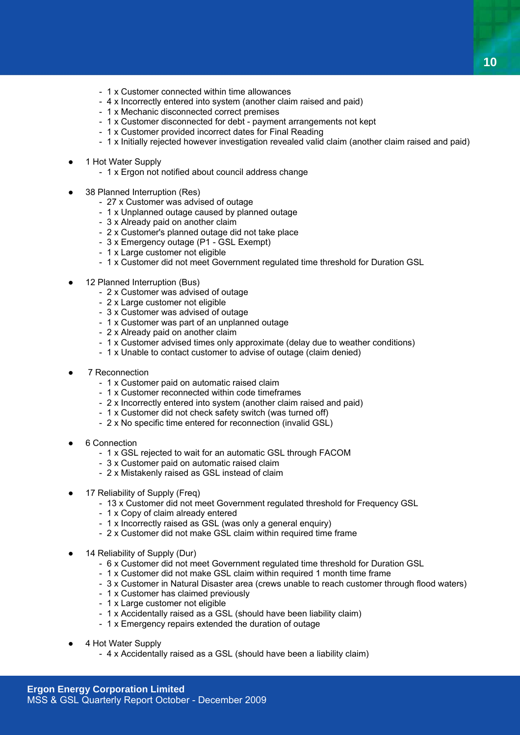- 1 x Customer connected within time allowances
- 4 x Incorrectly entered into system (another claim raised and paid)
- 1 x Mechanic disconnected correct premises
- 1 x Customer disconnected for debt payment arrangements not kept
- 1 x Customer provided incorrect dates for Final Reading
- 1 x Initially rejected however investigation revealed valid claim (another claim raised and paid)
- 1 Hot Water Supply
	- 1 x Ergon not notified about council address change
- 38 Planned Interruption (Res)
	- 27 x Customer was advised of outage
	- 1 x Unplanned outage caused by planned outage
	- 3 x Already paid on another claim
	- 2 x Customer's planned outage did not take place
	- 3 x Emergency outage (P1 GSL Exempt)
	- 1 x Large customer not eligible
	- 1 x Customer did not meet Government regulated time threshold for Duration GSL
- 12 Planned Interruption (Bus)
	- 2 x Customer was advised of outage
	- 2 x Large customer not eligible
	- 3 x Customer was advised of outage
	- 1 x Customer was part of an unplanned outage
	- 2 x Already paid on another claim
	- 1 x Customer advised times only approximate (delay due to weather conditions)
	- 1 x Unable to contact customer to advise of outage (claim denied)
- 7 Reconnection
	- 1 x Customer paid on automatic raised claim
	- 1 x Customer reconnected within code timeframes
	- 2 x Incorrectly entered into system (another claim raised and paid)
	- 1 x Customer did not check safety switch (was turned off)
	- 2 x No specific time entered for reconnection (invalid GSL)
- 6 Connection
	- 1 x GSL rejected to wait for an automatic GSL through FACOM
	- 3 x Customer paid on automatic raised claim
	- 2 x Mistakenly raised as GSL instead of claim
- 17 Reliability of Supply (Freq)
	- 13 x Customer did not meet Government regulated threshold for Frequency GSL
	- 1 x Copy of claim already entered
	- 1 x Incorrectly raised as GSL (was only a general enquiry)
	- 2 x Customer did not make GSL claim within required time frame
- 14 Reliability of Supply (Dur)
	- 6 x Customer did not meet Government regulated time threshold for Duration GSL
	- 1 x Customer did not make GSL claim within required 1 month time frame
	- 3 x Customer in Natural Disaster area (crews unable to reach customer through flood waters)
	- 1 x Customer has claimed previously
	- 1 x Large customer not eligible
	- 1 x Accidentally raised as a GSL (should have been liability claim)
	- 1 x Emergency repairs extended the duration of outage
- 4 Hot Water Supply
	- 4 x Accidentally raised as a GSL (should have been a liability claim)